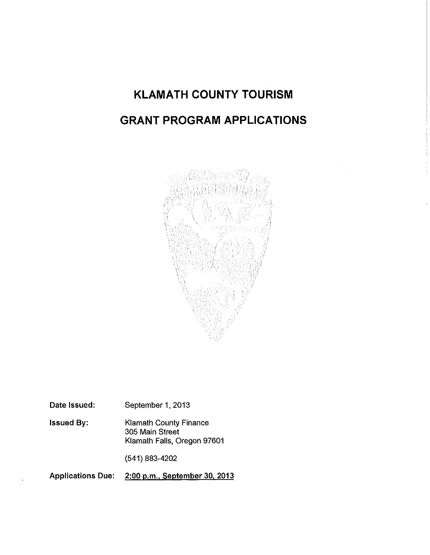## **KLAMATH COUNTY TOURISM GRANT PROGRAM APPLICATIONS**



Date Issued: September 1, 2013

Issued By: Klamath County Finance 305 Main Street Klamath Falls, Oregon 97601

(541) 883-4202

Applications Due: 2:00 p.m., September 30, 2013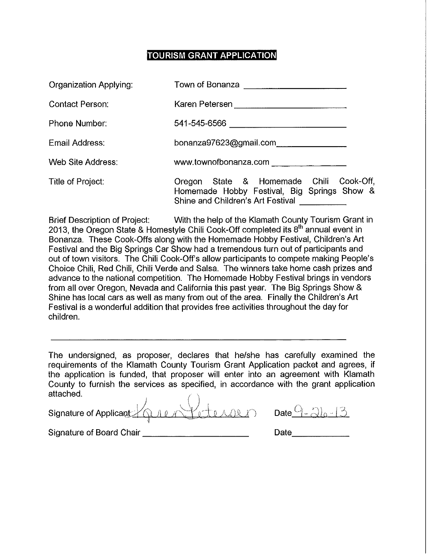#### **TOURISM GRANT APPLICATION**

| Organization Applying: | Town of Bonanza <b>contains the COVID-100 model</b>                                                                         |
|------------------------|-----------------------------------------------------------------------------------------------------------------------------|
| Contact Person:        |                                                                                                                             |
| Phone Number:          | 541-545-6566 ________________________________                                                                               |
| Email Address:         | bonanza97623@gmail.com                                                                                                      |
| Web Site Address:      | www.townofbonanza.com                                                                                                       |
| Title of Project:      | Oregon State & Homemade Chili Cook-Off,<br>Homemade Hobby Festival, Big Springs Show &<br>Shine and Children's Art Festival |

Brief Description of Project: With the help of the Klamath County Tourism Grant in 2013, the Oregon State & Homestyle Chili Cook-Off completed its 8<sup>th</sup> annual event in Bonanza. These Cook-Offs along with the Homemade Hobby Festival, Children's Art Festival and the Big Springs Car Show had a tremendous turn out of participants and out of town visitors. The Chili Cook-Off's allow participants to compete making People's Choice Chili, Red Chili, Chili Verde and Salsa. The winners take home cash prizes and advance to the national competition. The Homemade Hobby Festival brings in vendors from all over Oregon, Nevada and California this past year. The Big Springs Show & Shine has local cars as well as many from out of the area. Finally the Children's Art Festival is a wonderful addition that provides free activities throughout the day for children.

The undersigned, as proposer, declares that he/she has carefully examined the requirements of the Klamath County Tourism Grant Application packet and agrees, if the application is funded, that proposer will enter into an agreement with Klamath County to furnish the services as specified, in accordance with the grant application attached.

 $Signature of Applicant /QALN. V other words are 0.21.21.$ 

Signature of Board Chair

| Date |  |
|------|--|
|      |  |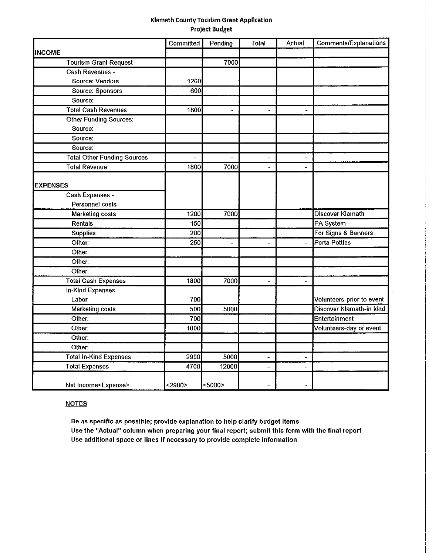#### Klamath County Tourism Grant Application Project Budget

|                                    | Committed                | Pending | <b>Total</b>             | Actual                   | <b>Comments/Explanations</b> |
|------------------------------------|--------------------------|---------|--------------------------|--------------------------|------------------------------|
| <b>INCOME</b>                      |                          |         |                          |                          |                              |
| <b>Tourism Grant Request</b>       |                          | 7000    |                          |                          |                              |
| Cash Revenues -                    |                          |         |                          |                          |                              |
| Source: Vendors                    | 1200                     |         |                          |                          |                              |
| <b>Source: Sponsors</b>            | 600                      |         |                          |                          |                              |
| Source:                            |                          |         |                          |                          |                              |
| <b>Total Cash Revenues</b>         | 1800                     |         |                          |                          |                              |
| <b>Other Funding Sources:</b>      |                          |         |                          |                          |                              |
| Source:                            |                          |         |                          |                          |                              |
| Source:                            |                          |         |                          |                          |                              |
| Source:                            |                          |         |                          |                          |                              |
| <b>Total Other Funding Sources</b> | $\overline{\phantom{0}}$ |         | $\overline{a}$           | $\overline{\phantom{0}}$ |                              |
| <b>Total Revenue</b>               | 1800                     | 7000    |                          | $\overline{a}$           |                              |
|                                    |                          |         |                          |                          |                              |
| <b>EXPENSES</b>                    |                          |         |                          |                          |                              |
| Cash Expenses -                    |                          |         |                          |                          |                              |
| Personnel costs                    |                          |         |                          |                          |                              |
| <b>Marketing costs</b>             | 1200                     | 7000    |                          |                          | <b>Discover Klamath</b>      |
| Rentals                            | 150                      |         |                          |                          | PA System                    |
| Supplies                           | 200                      |         |                          |                          | For Signs & Banners          |
| Other:                             | 250                      |         | L.                       | $\blacksquare$           | Porta Potties                |
| Other:                             |                          |         |                          |                          |                              |
| Other:                             |                          |         |                          |                          |                              |
| Other:                             |                          |         |                          |                          |                              |
| <b>Total Cash Expenses</b>         | 1800                     | 7000    | $\overline{a}$           | $\overline{a}$           |                              |
| In-Kind Expenses                   |                          |         |                          |                          |                              |
| Labor                              | 700                      |         |                          |                          | Volunteers-prior to event    |
| <b>Marketing costs</b>             | 500                      | 5000    |                          |                          | Discover Klamath-in kind     |
| Other:                             | 700                      |         |                          |                          | Entertainment                |
| Other:                             | 1000                     |         |                          |                          | Volunteers-day of event      |
| Other:                             |                          |         |                          |                          |                              |
| Other:                             |                          |         |                          |                          |                              |
| <b>Total In-Kind Expenses</b>      | 2900                     | 5000    |                          | $\tilde{\phantom{a}}$    |                              |
| <b>Total Expenses</b>              | 4700                     | 12000   | $\overline{\phantom{0}}$ |                          |                              |
| Net Income <expense></expense>     | $2900$                   | $5000$  |                          |                          |                              |

#### **NOTES**

Be as specific as possible; provide explanation to help clarify budget items Use the "Actual" column when preparing your final report; submit this form with the final report Use additional space or lines If necessary to provide complete information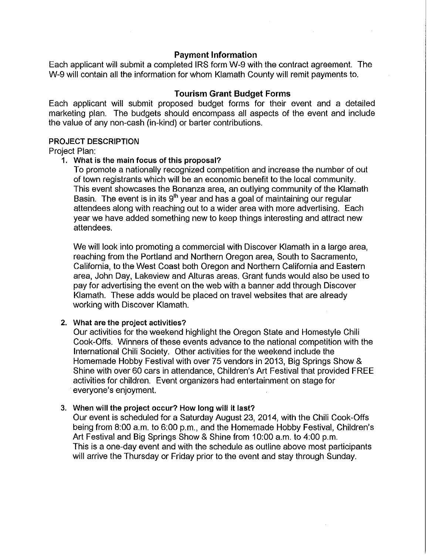#### Payment Information

Each applicant will submit a completed IRS form W-9 with the contract agreement. The W-9 will contain all the information for whom Klamath County will remit payments to.

#### Tourism Grant Budget Forms

Each applicant will submit proposed budget forms for their event and a detailed marketing plan. The budgets should encompass all aspects of the event and include the value of any non-cash (in-kind) or barter contributions.

#### PROJECT DESCRIPTION

Project Plan:

#### 1. What is the main focus of this proposal?

To promote a nationally recognized competition and increase the number of out of town registrants which will be an economic benefit to the local community. This event showcases the Bonanza area, an outlying community of the Klamath Basin. The event is in its 9<sup>th</sup> year and has a goal of maintaining our regular attendees along with reaching out to a wider area with more advertising. Each year we have added something new to keep things interesting and attract new attendees.

We will look into promoting a commercial with Discover Klamath in a large area, reaching from the Portland and Northern Oregon area, South to Sacramento, California, to the West Coast both Oregon and Northern California and Eastern area, John Day, Lakeview and Alturas areas. Grant funds would also be used to pay for advertising the event on the web with a banner add through Discover Klamath. These adds would be placed on travel websites that are already working with Discover Klamath.

#### 2. What are the project activities?

Our activities for the weekend highlight the Oregon State and Homestyle Chili Cook-Offs. Winners of these events advance to the national competition with the International Chili Society. Other activities for the weekend include the Homemade Hobby Festival with over 75 vendors in 2013, Big Springs Show & Shine with over 60 cars in attendance, Children's Art Festival that provided FREE activities for children. Event organizers had entertainment on stage for everyone's enjoyment.

#### 3. When will the project occur? How long will it last?

Our event is scheduled for a Saturday August 23, 2014, with the Chili Cook-Offs being from 8:00 a.m. to 6:00 p.m., and the Homemade Hobby Festival, Children's Art Festival and Big Springs Show & Shine from 10:00 a.m. to 4:00 p.m. This is a one-day event and with the schedule as outline above most participants will arrive the Thursday or Friday prior to the event and stay through Sunday.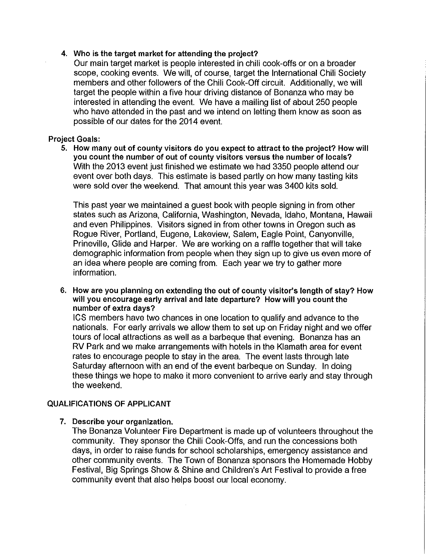#### 4. Who is the target market for attending the project?

Our main target market is people interested in chili cook-offs or on a broader scope, cooking events. We will, of course, target the International Chili Society members and other followers of the Chili Cook-Off circuit. Additionally, we will target the people within a five hour driving distance of Bonanza who may be interested in attending the event. We have a mailing list of about 250 people who have attended in the past and we intend on letting them know as soon as possible of our dates for the 2014 event.

#### Project Goals:

5. How many out of county visitors do you expect to attract to the project? How will you count the number of out of county visitors versus the number of locals? With the 2013 event just finished we estimate we had 3350 people attend our event over both days. This estimate is based partly on how many tasting kits were sold over the weekend. That amount this year was 3400 kits sold.

This past year we maintained a guest book with people signing in from other states such as Arizona, California, Washington, Nevada, Idaho, Montana, Hawaii and even Philippines. Visitors signed in from other towns in Oregon such as Rogue River, Portland, Eugene, Lakeview, Salem, Eagle Point, Canyonville, Prineville, Glide and Harper. We are working on a raffle together that will take demographic information from people when they sign up to give us even more of an idea where people are coming from. Each year we try to gather more information.

#### 6. How are you planning on extending the out of county visitor's length of stay? How will you encourage early arrival and late departure? How will you count the number of extra days?

ICS members have two chances in one location to qualify and advance to the nationals. For early arrivals we allow them to set up on Friday night and we offer tours of local attractions as well as a barbeque that evening. Bonanza has an RV Park and we make arrangements with hotels in the Klamath area for event rates to encourage people to stay in the area. The event lasts through late Saturday afternoon with an end of the event barbeque on Sunday. In doing these things we hope to make it more convenient to arrive early and stay through the weekend.

#### QUALIFICATIONS OF APPLICANT

#### 7. Describe your organization.

The Bonanza Volunteer Fire Department is made up of volunteers throughout the community. They sponsor the Chili Cook-Offs, and run the concessions both days, in order to raise funds for school scholarships, emergency assistance and other community events. The Town of Bonanza sponsors the Homemade Hobby Festival, Big Springs Show & Shine and Children's Art Festival to provide a free community event that also helps boost our local economy.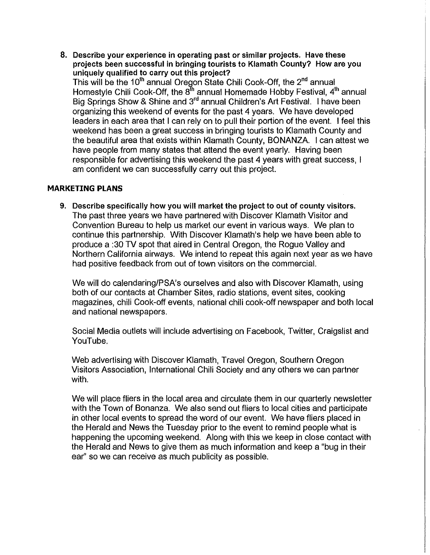8. Describe your experience in operating past or similar projects. Have these projects been successful in bringing tourists to Klamath County? How are you uniquely qualified to carry out this project? This will be the 10<sup>th</sup> annual Oregon State Chili Cook-Off, the 2<sup>nd</sup> annual Homestyle Chili Cook-Off, the 8<sup>th</sup> annual Homemade Hobby Festival, 4<sup>th</sup> annual Big Springs Show & Shine and 3'<sup>d</sup> annual Children's Art Festival. I have been organizing this weekend of events for the past 4 years. We have developed leaders in each area that I can rely on to pull their portion of the event. I feel this weekend has been a great success in bringing tourists to Klamath County and the beautiful area that exists within Klamath County, BONANZA. I can attest we have people from many states that attend the event yearly. Having been responsible for advertising this weekend the past 4 years with great success, I am confident we can successfully carry out this project.

#### **MARKETING PLANS**

9. Describe specifically how you will market the project to out of county visitors. The past three years we have partnered with Discover Klamath Visitor and Convention Bureau to help us market our event in various ways. We plan to continue this partnership. With Discover Klamath's help we have been able to produce a :30 TV spot that aired in Central Oregon, the Rogue Valley and Northern California airways. We intend to repeat this again next year as we have had positive feedback from out of town visitors on the commercial.

We will do calendaring/PSA's ourselves and also with Discover Klamath, using both of our contacts at Chamber Sites, radio stations, event sites, cooking magazines, chili Cook-off events, national chili cook-off newspaper and both local and national newspapers.

Social Media outlets Will include advertising on Facebook, Twitter, Craigslist and YouTube.

Web advertising with Discover Klamath, Travel Oregon, Southern Oregon Visitors Association, International Chili Society and any others we can partner with.

We will place fliers in the local area and circulate them in our quarterly newsletter with the Town of Bonanza. We also send out fliers to local cities and participate in other local events to spread the word of our event. We have fliers placed in the Herald and News the Tuesday prior to the event to remind people what is happening the upcoming weekend. Along with this we keep in close contact with the Herald and News to give them as much information and keep a "bug in their ear'' so we can receive as much publicity as possible.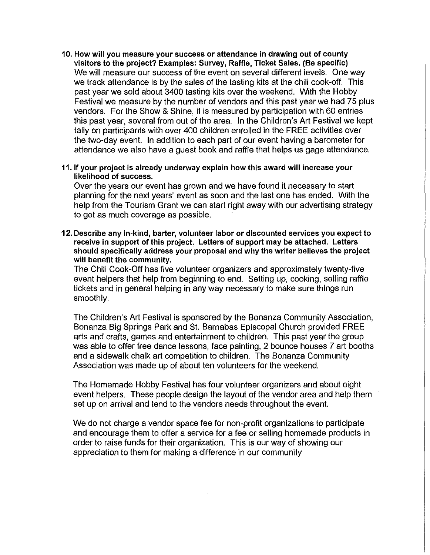- 10. How will you measure your success or attendance in drawing out of county visitors to the project? Examples: Survey, Raffle, Ticket Sales. (Be specific) We will measure our success of the event on several different levels. One way we track attendance is by the sales of the tasting kits at the chili cook-off. This past year we sold about 3400 tasting kits over the weekend. With the Hobby Festival we measure by the number of vendors and this past year we had 75 plus vendors. For the Show & Shine, it is measured by participation with 60 entries this past year, several from out of the area. In the Children's Art Festival we kept tally on participants with over 400 children enrolled in the FREE activities over the two-day event. In addition to each part of our event having a barometer for attendance we also have a guest book and raffle that helps us gage attendance.
- 11. If your project is already underway explain how this award will increase your likelihood of success.

Over the years our event has grown and we have found it necessary to start planning for the next years' event as soon and the last one has ended. With the help from the Tourism Grant we can start right away with our advertising strategy to get as much coverage as possible.

12. Describe any in-kind, barter, volunteer labor or discounted services you expect to receive in support of this project. Letters of support may be attached. Letters should specifically address your proposal and why the writer believes the project will benefit the community.

The Chili Cook-Off has five volunteer organizers and approximately twenty-five event helpers that help from beginning to end. Setting up, cooking, selling raffle tickets and in general helping in any way necessary to make sure things run smoothly.

The Children's Art Festival is sponsored by the Bonanza Community Association, Bonanza Big Springs Park and St. Barnabas Episcopal Church provided FREE arts and crafts, games and entertainment to children. This past year the group was able to offer free dance lessons, face painting, 2 bounce houses 7 art booths and a sidewalk chalk art competition to children. The Bonanza Community Association was made up of about ten volunteers for the weekend.

The Homemade Hobby Festival has four volunteer organizers and about eight event helpers. These people design the layout of the vendor area and help them set up on arrival and tend to the vendors needs throughout the event.

We do not charge a vendor space fee for non-profit organizations to participate and encourage them to offer a service for a fee or selling homemade products in order to raise funds for their organization. This is our way of showing our appreciation to them for making a difference in our community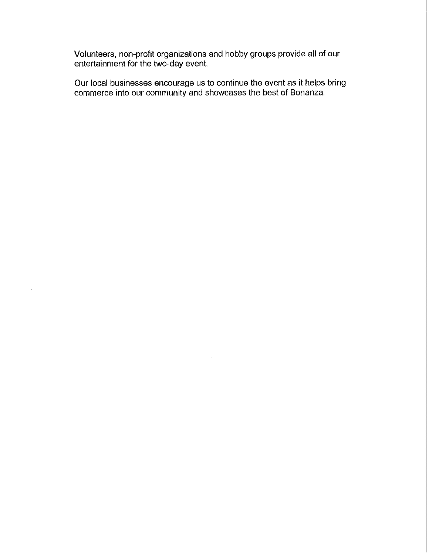Volunteers, non-profit organizations and hobby groups provide all of our entertainment for the two-day event.

Our local businesses encourage us to continue the event as it helps bring commerce into our community and showcases the best of Bonanza.

 $\hat{\mathcal{L}}$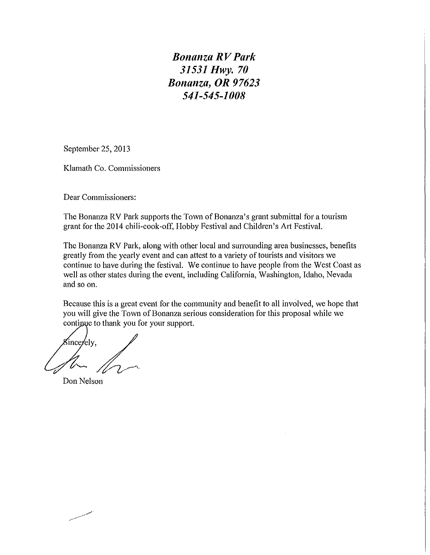*Bonanza R V Park 31531 Hwy. 70 Bonanza, OR 97623 541-545-1008* 

September 25, 2013

Klamath Co. Commissioners

Dear Commissioners:

The Bonanza RV Park supports the Town of Bonanza's grant submittal for a tourism grant for the 2014 chili-cook-off, Hobby Festival and Children's Art Festival.

The Bonanza RV Park, along with other local and surrounding area businesses, benefits greatly from the yearly event and can attest to a variety of tourists and visitors we continue to have during the festival. We continue to have people from the West Coast as well as other states during the event, including California, Washington, Idaho, Nevada and so on.

Because this is a great event for the community and benefit to all involved, we hope that you will give the Town of Bonanza serious consideration for this proposal while we continue to thank you for your support.

Since/ely,

Don Nelson

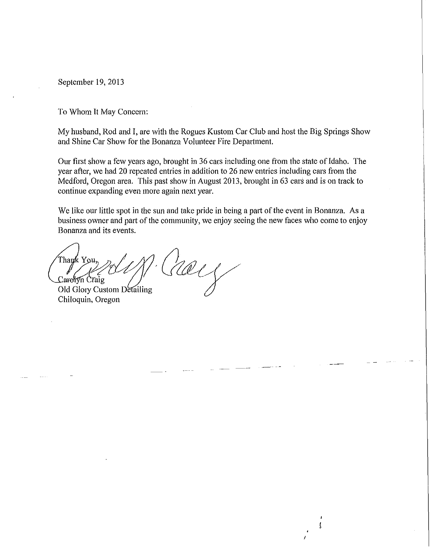September 19, 2013

To Whom It May Concern:

My husband, Rod and I, are with the Rogues Kustom Car Club and host the Big Springs Show and Shine Car Show for the Bonanza Volunteer Fire Department.

Our first show a few years ago, brought in 36 cars including one from the state of Idaho. The year after, we had 20 repeated entries in addition to 26 new entries including cars from the Medford, Oregon area. This past show in August 2013, brought in 63 cars and is on track to continue expanding even more again next year.

We like our little spot in the sun and take pride in being a part of the event in Bonanza. As a business owner and part of the community, we enjoy seeing the new faces who come to enjoy Bonanza and its events.

 $\binom{1}{k}$ Thank You,<br>Carenyn Craig<br>Old Glory Custom Detailing<br>Chiloquin, Oregon

Chiloquin, Oregon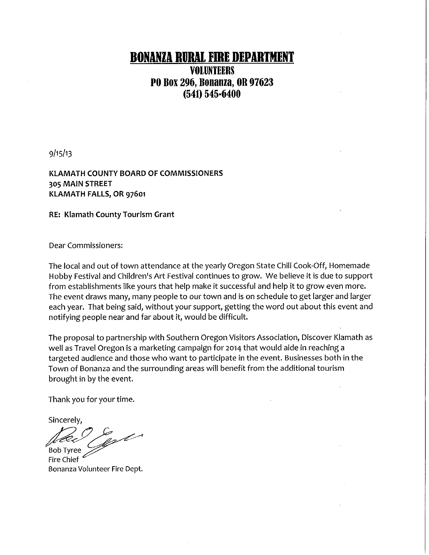## **BONANZA RURAl FmE DEPARTMENT**

### **VOLUNTEERS PO Box 296, Bonanza, OR 97623 (541) 545·6400**

 $9/15/13$ 

KLAMATH COUNTY BOARD OF COMMISSIONERS 305 MAIN STREET KLAMATH FALLS, OR 97601

RE: Klamath County Tourism Grant

Dear Commissioners:

The local and out of town attendance at the yearly Oregon State Chili Cook-Off, Homemade Hobby Festival and Children's Art Festival continues to grow. We believe it is due to support from establishments like yours that help make it successful and help it to grow even more. The event draws many, many people to our town and is on schedule to get larger and larger each year. That being said, without your support, getting the word out about this event and notifying people near and far about it, would be difficult.

The proposal to partnership with Southern Oregon Visitors Association, Discover Klamath as well as Travel Oregon is a marketing campaign for 2014 that would aide in reaching a targeted audience and those who want to participate in the event. Businesses both in the Town of Bonanza and the surrounding areas will benefit from the additional tourism brought in by the event.

Thank you for your time.

Sincerely,

 $e^{2\theta}$ <br>Bob Tyree

Bonanza Volunteer Fire Dept.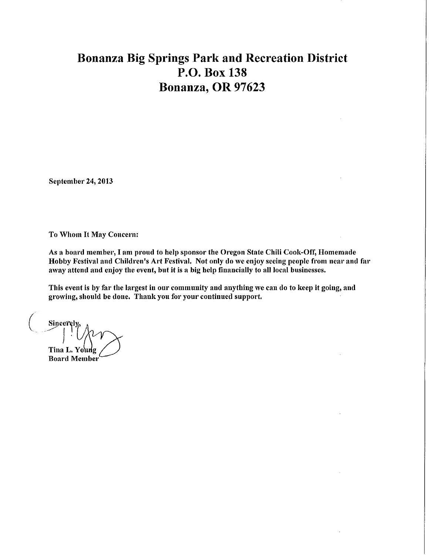## **Bonanza Big Springs Park and Recreation District P.O. Box 138 Bonanza, OR 97623**

September 24, 2013

To Whom It May Concern:

As a board member, I am proud to help sponsor the Oregon State Chili Cook-Off, Homemade Hobby Festival and Children's Art Festival. Not only do we enjoy seeing people from near and far away attend and enjoy the event, but it is a big help financially to all local businesses.

This event is by far the largest in our community and anything we can do to keep it going, and growing, should be done. Thank you for your continued support.

 $\begin{pmatrix} 1 & 1 \\ 1 & 1 \end{pmatrix}$ **Sincerel**  $=$ l $\langle\langle\mathcal{N}\mathcal{N}\rangle$ Tina L. Young Board Member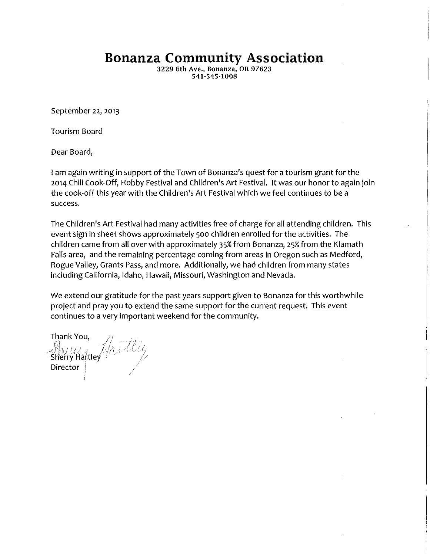**Bonanza Community Association** 

3229 6th Ave., Bonanza, OR 97623 541·545·1008

September 22, 2013

Tourism Board

Dear Board,

I am again writing in support of the Town of Bonanza's quest for a tourism grant for the 2014 Chili Cook-Off, Hobby Festival and Children's Art Festival. It was our honor to again join the cook-off this year with the Children's Art Festival which we feel continues to be a success.

The Children's Art Festival had many activities free of charge for all attending children. This event sign in sheet shows approximately 500 children enrolled for the activities. The children came from all over with approximately 35% from Bonanza, 25% from the Klamath Falls area, and the remaining percentage coming from areas in Oregon such as Medford, Rogue Valley, Grants Pass, and more. Additionally, we had children from many states including California, Idaho, Hawaii, Missouri, Washington and Nevada.

We extend our gratitude for the past years support given to Bonanza for this worthwhile project and pray you to extend the same support for the current request. This event continues to a very important weekend for the community.

Thank You, Shaw Tod, Andling Director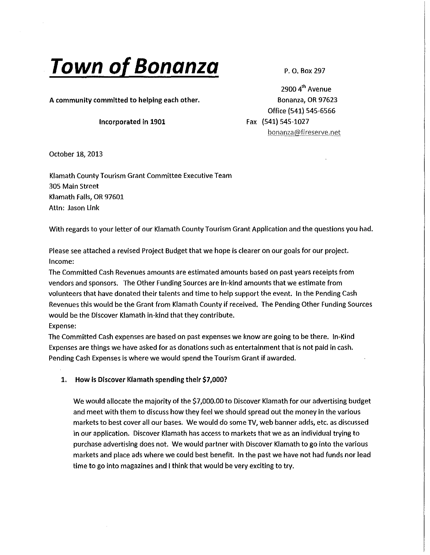# **Town of Bonanza**

P. 0. Box 297

A community committed to helping each other.

#### Incorporated In 1901

2900 4<sup>th</sup> Avenue Bonanza, OR 97623 Office {541) 545-6566 Fax (541) 545-1027 bonanza@fireserve.net

October 18, 2013

Klamath County Tourism Grant Committee Executive Team 305 Main Street Klamath Falls, OR 97601 Attn: Jason Link

With regards to your letter of our Klamath County Tourism Grant Application and the questions you had.

Please see attached a revised Project Budget that we hope is clearer on our goals for our project. Income:

The Committed Cash Revenues amounts are estimated amounts based on past years receipts from vendors and sponsors. The Other Funding Sources are in-kind amounts that we estimate from volunteers that have donated their talents and time to help support the event. In the Pending Cash Revenues this would be the Grant from Klamath County if received. The Pending Other Funding Sources would be the Discover Klamath in-kind that they contribute. Expense:

The Committed Cash expenses are based on past expenses we know are going to be there. In-Kind Expenses are things we have asked for as donations such as entertainment that is not paid in cash. Pending Cash Expenses is where we would spend the Tourism Grant if awarded.

#### 1. How Is Discover Klamath spending their \$7,000?

We would allocate the majority of the \$7,000.00 to Discover Klamath for our advertising budget and meet with them to discuss how they feel we should spread out the money in the various markets to best cover all our bases. We would do some TV, web banner adds, etc. as discussed in our application. Discover Klamath has access to markets that we as an individual trying to purchase advertising does not. We would partner with Discover Klamath to go into the various markets and place ads where we could best benefit. In the past we have not had funds nor lead time to go into magazines and I think that would be very exciting to try.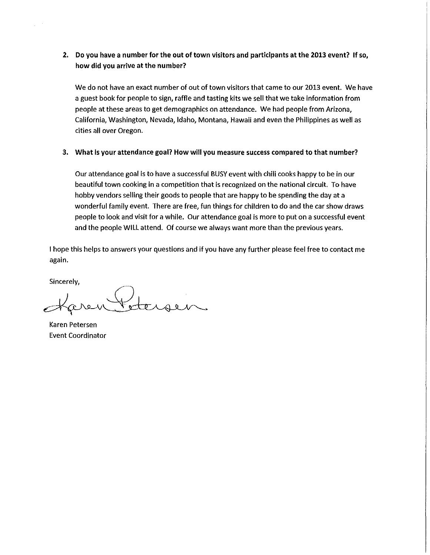#### 2. Do you have a number for the out of town visitors and participants at the 2013 event? If so, how did you arrive at the number?

We do not have an exact number of out of town visitors that came to our 2013 event. We have a guest book for people to sign, raffle and tasting kits we sell that we take information from people at these areas to get demographics on attendance. We had people from Arizona, California, Washington, Nevada, Idaho, Montana, Hawaii and even the Philippines as well as cities all over Oregon.

#### 3. What is your attendance goal? How will you measure success compared to that number?

Our attendance goal is to have a successful BUSY event with chili cooks happy to be in our beautiful town cooking in a competition that is recognized on the national circuit. To have hobby vendors selling their goods to people that are happy to be spending the day at a wonderful family event. There are free, fun things for children to do and the car show draws people to look and visit for a while. Our attendance goal is more to put on a successful event and the people WILL attend. Of course we always want more than the previous years.

I hope this helps to answers your questions and if you have any further please feel free to contact me again.

Sincerely,

 $\mathbf{r}$ 

Haven Fetersen

Karen Petersen Event Coordinator